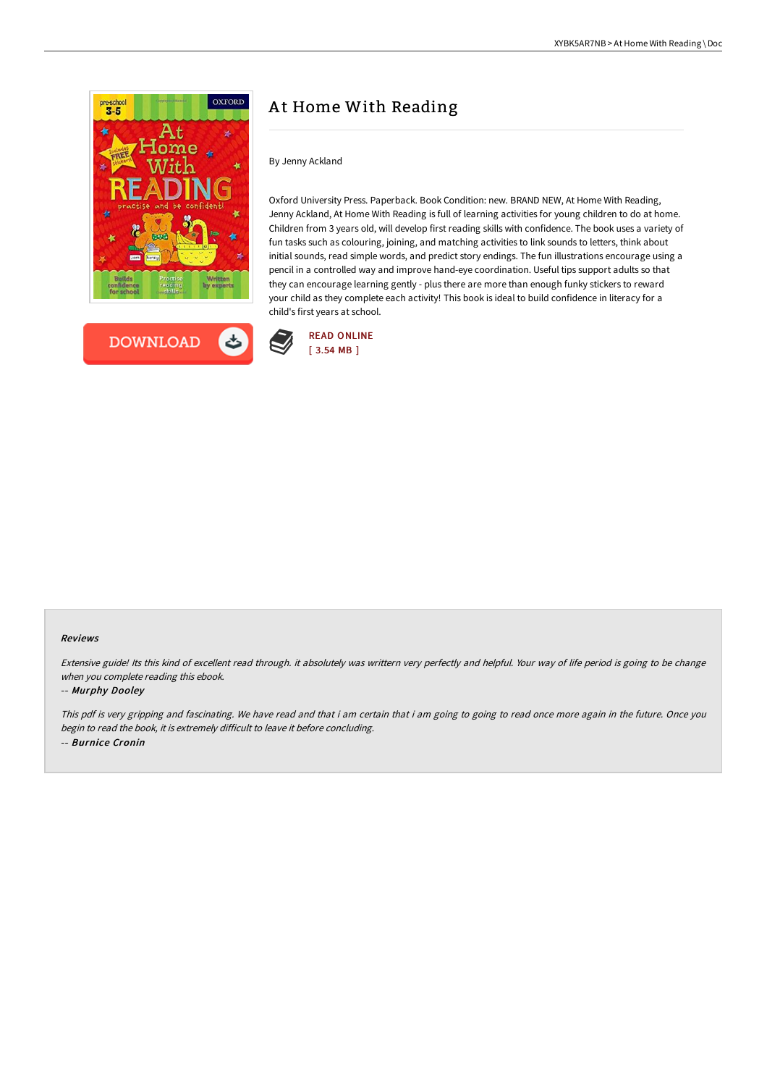



# At Home With Reading

By Jenny Ackland

Oxford University Press. Paperback. Book Condition: new. BRAND NEW, At Home With Reading, Jenny Ackland, At Home With Reading is full of learning activities for young children to do at home. Children from 3 years old, will develop first reading skills with confidence. The book uses a variety of fun tasks such as colouring, joining, and matching activities to link sounds to letters, think about initial sounds, read simple words, and predict story endings. The fun illustrations encourage using a pencil in a controlled way and improve hand-eye coordination. Useful tips support adults so that they can encourage learning gently - plus there are more than enough funky stickers to reward your child as they complete each activity! This book is ideal to build confidence in literacy for a child's first years at school.



#### Reviews

Extensive guide! Its this kind of excellent read through. it absolutely was writtern very perfectly and helpful. Your way of life period is going to be change when you complete reading this ebook.

#### -- Murphy Dooley

This pdf is very gripping and fascinating. We have read and that i am certain that i am going to going to read once more again in the future. Once you begin to read the book, it is extremely difficult to leave it before concluding. -- Burnice Cronin